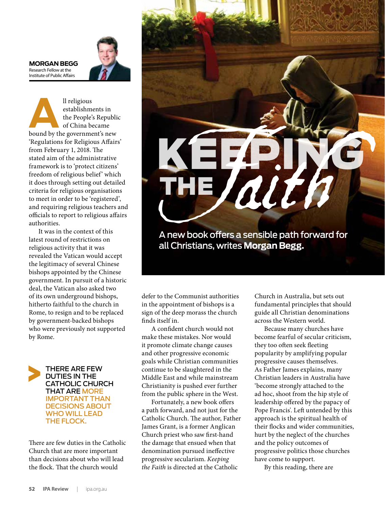**MORGAN BEGG** Research Fellow at the Institute of Public Affairs



**ALL** religious establishments in the People's Republic of China became bound by the government's new establishments in the People's Republic of China became 'Regulations for Religious Affairs' from February 1, 2018. The stated aim of the administrative framework is to 'protect citizens' freedom of religious belief' which it does through setting out detailed criteria for religious organisations to meet in order to be 'registered', and requiring religious teachers and officials to report to religious affairs authorities.

It was in the context of this latest round of restrictions on religious activity that it was revealed the Vatican would accept the legitimacy of several Chinese bishops appointed by the Chinese government. In pursuit of a historic deal, the Vatican also asked two of its own underground bishops, hitherto faithful to the church in Rome, to resign and to be replaced by government-backed bishops who were previously not supported by Rome.



There are few duties in the Catholic Church that are more important than decisions about who will lead the flock. That the church would



A new book offers a sensible path forward for all Christians, writes **Morgan Begg.**

defer to the Communist authorities in the appointment of bishops is a sign of the deep morass the church finds itself in.

A confident church would not make these mistakes. Nor would it promote climate change causes and other progressive economic goals while Christian communities continue to be slaughtered in the Middle East and while mainstream Christianity is pushed ever further from the public sphere in the West.

Fortunately, a new book offers a path forward, and not just for the Catholic Church. The author, Father James Grant, is a former Anglican Church priest who saw first-hand the damage that ensued when that denomination pursued ineffective progressive secularism. *Keeping the Faith* is directed at the Catholic

Church in Australia, but sets out fundamental principles that should guide all Christian denominations across the Western world.

Because many churches have become fearful of secular criticism, they too often seek fleeting popularity by amplifying popular progressive causes themselves. As Father James explains, many Christian leaders in Australia have 'become strongly attached to the ad hoc, shoot from the hip style of leadership offered by the papacy of Pope Francis'. Left untended by this approach is the spiritual health of their flocks and wider communities, hurt by the neglect of the churches and the policy outcomes of progressive politics those churches have come to support.

By this reading, there are